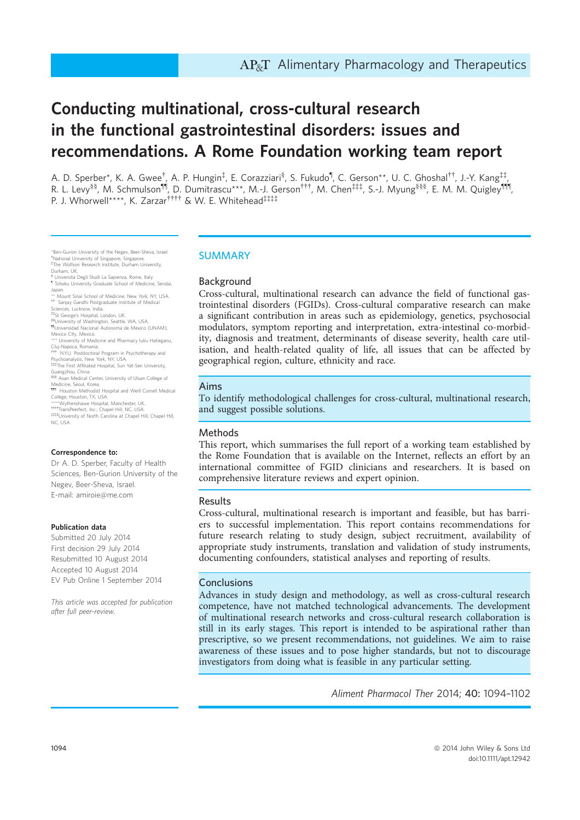# Conducting multinational, cross-cultural research in the functional gastrointestinal disorders: issues and recommendations. A Rome Foundation working team report

A. D. Sperber\*, K. A. Gwee<sup>†</sup>, A. P. Hungin<sup>‡</sup>, E. Corazziari<sup>§</sup>, S. Fukudo¶, C. Gerson\*\*, U. C. Ghoshal<sup>††</sup>, J.-Y. Kang<sup>‡‡</sup>, R. L. Levy§§, M. Schmulson¶¶, D. Dumitrascu\*\*\*, M.-J. Gerson†††, M. Chen‡‡‡, S.-J. Myung§§§, E. M. M. Quigley¶¶¶, P. J. Whorwell\*\*\*\*, K. Zarzar<sup>††††</sup> & W. E. Whitehead<sup>‡‡‡‡</sup>

\*Ben-Gurion University of the Negev, Beer-Sheva, Israel. † National University of Singapore, Singapore. ‡ The Wolfson Research Institute, Durham University,

- Durham, UK. § Universita Degli Studi La Sapienza, Rome, Italy.
- ¶ Tohoku University Graduate School of Medicine, Sendai,

Japan. ipan.<br>' Mount Sinai School of Medicine, New York, NY, USA. †† Sanjay Gandhi Postgraduate Institute of Medical

Sciences, Lucknow, India. ‡‡St George's Hospital, London, UK.

§§University of Washington, Seattle, WA, USA.<br>¶Universidad Nacional Autonoma de Mexico (UNAM), Mexico City, Mexico.

\*\*\* University of Medicine and Pharmacy Iuliu Hatieganu, Cluj-Napoca, Romania. ††† N.Y.U. Postdoctoral Program in Psychotherapy and

Psychoanalysis, New York, NY, USA. ‡‡‡The First Affiliated Hospital, Sun Yat-Sen University, Guangzhou, China.

§§§ Asan Medical Center, University of Ulsan College of Medicine, Seoul, Korea.

medicine, seour, Korea.<br>111 Houston Methodist Hospital and Weill Cornell Medical College, Houston, TX, USA.

\*\*\*Wythenshawe Hospital, Manchester, UK

††††TransPeerfect, Inc., Chapel Hill, NC, USA.<br>‡‡‡‡University of North Carolina at Chapel Hill, Chapel Hill, NC, USA.

#### Correspondence to:

Dr A. D. Sperber, Faculty of Health Sciences, Ben-Gurion University of the Negev, Beer-Sheva, Israel. E-mail: amiroie@me.com

#### Publication data

Submitted 20 July 2014 First decision 29 July 2014 Resubmitted 10 August 2014 Accepted 10 August 2014 EV Pub Online 1 September 2014

This article was accepted for publication after full peer-review.

# SUMMARY

# Background

Cross-cultural, multinational research can advance the field of functional gastrointestinal disorders (FGIDs). Cross-cultural comparative research can make a significant contribution in areas such as epidemiology, genetics, psychosocial modulators, symptom reporting and interpretation, extra-intestinal co-morbidity, diagnosis and treatment, determinants of disease severity, health care utilisation, and health-related quality of life, all issues that can be affected by geographical region, culture, ethnicity and race.

#### Aims

To identify methodological challenges for cross-cultural, multinational research, and suggest possible solutions.

# Methods

This report, which summarises the full report of a working team established by the Rome Foundation that is available on the Internet, reflects an effort by an international committee of FGID clinicians and researchers. It is based on comprehensive literature reviews and expert opinion.

# Results

Cross-cultural, multinational research is important and feasible, but has barriers to successful implementation. This report contains recommendations for future research relating to study design, subject recruitment, availability of appropriate study instruments, translation and validation of study instruments, documenting confounders, statistical analyses and reporting of results.

# **Conclusions**

Advances in study design and methodology, as well as cross-cultural research competence, have not matched technological advancements. The development of multinational research networks and cross-cultural research collaboration is still in its early stages. This report is intended to be aspirational rather than prescriptive, so we present recommendations, not guidelines. We aim to raise awareness of these issues and to pose higher standards, but not to discourage investigators from doing what is feasible in any particular setting.

Aliment Pharmacol Ther 2014; 40: 1094–1102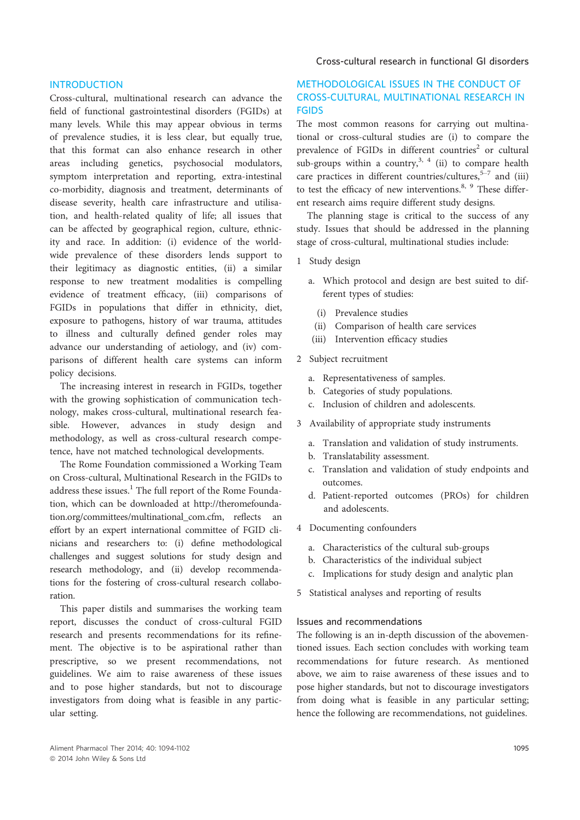## INTRODUCTION

Cross-cultural, multinational research can advance the field of functional gastrointestinal disorders (FGIDs) at many levels. While this may appear obvious in terms of prevalence studies, it is less clear, but equally true, that this format can also enhance research in other areas including genetics, psychosocial modulators, symptom interpretation and reporting, extra-intestinal co-morbidity, diagnosis and treatment, determinants of disease severity, health care infrastructure and utilisation, and health-related quality of life; all issues that can be affected by geographical region, culture, ethnicity and race. In addition: (i) evidence of the worldwide prevalence of these disorders lends support to their legitimacy as diagnostic entities, (ii) a similar response to new treatment modalities is compelling evidence of treatment efficacy, (iii) comparisons of FGIDs in populations that differ in ethnicity, diet, exposure to pathogens, history of war trauma, attitudes to illness and culturally defined gender roles may advance our understanding of aetiology, and (iv) comparisons of different health care systems can inform policy decisions.

The increasing interest in research in FGIDs, together with the growing sophistication of communication technology, makes cross-cultural, multinational research feasible. However, advances in study design and methodology, as well as cross-cultural research competence, have not matched technological developments.

The Rome Foundation commissioned a Working Team on Cross-cultural, Multinational Research in the FGIDs to address these issues.<sup>1</sup> The full report of the Rome Foundation, which can be downloaded at http://theromefoundation.org/committees/multinational\_com.cfm, reflects an effort by an expert international committee of FGID clinicians and researchers to: (i) define methodological challenges and suggest solutions for study design and research methodology, and (ii) develop recommendations for the fostering of cross-cultural research collaboration.

This paper distils and summarises the working team report, discusses the conduct of cross-cultural FGID research and presents recommendations for its refinement. The objective is to be aspirational rather than prescriptive, so we present recommendations, not guidelines. We aim to raise awareness of these issues and to pose higher standards, but not to discourage investigators from doing what is feasible in any particular setting.

# METHODOLOGICAL ISSUES IN THE CONDUCT OF CROSS-CULTURAL, MULTINATIONAL RESEARCH IN FGIDS

The most common reasons for carrying out multinational or cross-cultural studies are (i) to compare the prevalence of FGIDs in different countries<sup>2</sup> or cultural sub-groups within a country,<sup>3, 4</sup> (ii) to compare health care practices in different countries/cultures, $5-7$  and (iii) to test the efficacy of new interventions.<sup>8, 9</sup> These different research aims require different study designs.

The planning stage is critical to the success of any study. Issues that should be addressed in the planning stage of cross-cultural, multinational studies include:

- 1 Study design
	- a. Which protocol and design are best suited to different types of studies:
		- (i) Prevalence studies
		- (ii) Comparison of health care services
	- (iii) Intervention efficacy studies
- 2 Subject recruitment
	- a. Representativeness of samples.
	- b. Categories of study populations.
	- c. Inclusion of children and adolescents.
- 3 Availability of appropriate study instruments
	- a. Translation and validation of study instruments.
	- b. Translatability assessment.
	- c. Translation and validation of study endpoints and outcomes.
	- d. Patient-reported outcomes (PROs) for children and adolescents.
- 4 Documenting confounders
	- a. Characteristics of the cultural sub-groups
	- b. Characteristics of the individual subject
	- c. Implications for study design and analytic plan
- 5 Statistical analyses and reporting of results

# Issues and recommendations

The following is an in-depth discussion of the abovementioned issues. Each section concludes with working team recommendations for future research. As mentioned above, we aim to raise awareness of these issues and to pose higher standards, but not to discourage investigators from doing what is feasible in any particular setting; hence the following are recommendations, not guidelines.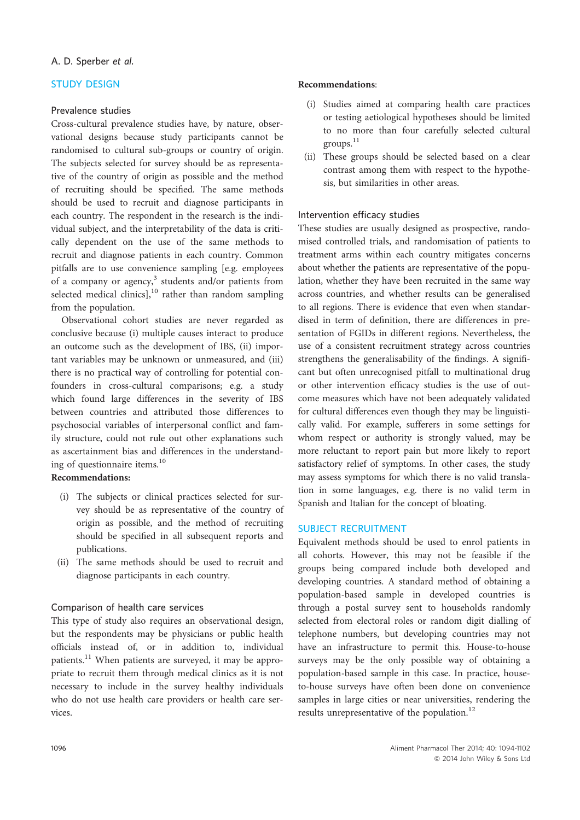# A. D. Sperber et al.

# STUDY DESIGN

# Prevalence studies

Cross-cultural prevalence studies have, by nature, observational designs because study participants cannot be randomised to cultural sub-groups or country of origin. The subjects selected for survey should be as representative of the country of origin as possible and the method of recruiting should be specified. The same methods should be used to recruit and diagnose participants in each country. The respondent in the research is the individual subject, and the interpretability of the data is critically dependent on the use of the same methods to recruit and diagnose patients in each country. Common pitfalls are to use convenience sampling [e.g. employees of a company or agency, $3$  students and/or patients from selected medical clinics], $10$  rather than random sampling from the population.

Observational cohort studies are never regarded as conclusive because (i) multiple causes interact to produce an outcome such as the development of IBS, (ii) important variables may be unknown or unmeasured, and (iii) there is no practical way of controlling for potential confounders in cross-cultural comparisons; e.g. a study which found large differences in the severity of IBS between countries and attributed those differences to psychosocial variables of interpersonal conflict and family structure, could not rule out other explanations such as ascertainment bias and differences in the understanding of questionnaire items.<sup>10</sup>

# Recommendations:

- (i) The subjects or clinical practices selected for survey should be as representative of the country of origin as possible, and the method of recruiting should be specified in all subsequent reports and publications.
- (ii) The same methods should be used to recruit and diagnose participants in each country.

# Comparison of health care services

This type of study also requires an observational design, but the respondents may be physicians or public health officials instead of, or in addition to, individual patients.<sup>11</sup> When patients are surveyed, it may be appropriate to recruit them through medical clinics as it is not necessary to include in the survey healthy individuals who do not use health care providers or health care services.

# Recommendations:

- (i) Studies aimed at comparing health care practices or testing aetiological hypotheses should be limited to no more than four carefully selected cultural  $groups.<sup>11</sup>$
- (ii) These groups should be selected based on a clear contrast among them with respect to the hypothesis, but similarities in other areas.

# Intervention efficacy studies

These studies are usually designed as prospective, randomised controlled trials, and randomisation of patients to treatment arms within each country mitigates concerns about whether the patients are representative of the population, whether they have been recruited in the same way across countries, and whether results can be generalised to all regions. There is evidence that even when standardised in term of definition, there are differences in presentation of FGIDs in different regions. Nevertheless, the use of a consistent recruitment strategy across countries strengthens the generalisability of the findings. A significant but often unrecognised pitfall to multinational drug or other intervention efficacy studies is the use of outcome measures which have not been adequately validated for cultural differences even though they may be linguistically valid. For example, sufferers in some settings for whom respect or authority is strongly valued, may be more reluctant to report pain but more likely to report satisfactory relief of symptoms. In other cases, the study may assess symptoms for which there is no valid translation in some languages, e.g. there is no valid term in Spanish and Italian for the concept of bloating.

# SUBJECT RECRUITMENT

Equivalent methods should be used to enrol patients in all cohorts. However, this may not be feasible if the groups being compared include both developed and developing countries. A standard method of obtaining a population-based sample in developed countries is through a postal survey sent to households randomly selected from electoral roles or random digit dialling of telephone numbers, but developing countries may not have an infrastructure to permit this. House-to-house surveys may be the only possible way of obtaining a population-based sample in this case. In practice, houseto-house surveys have often been done on convenience samples in large cities or near universities, rendering the results unrepresentative of the population.<sup>12</sup>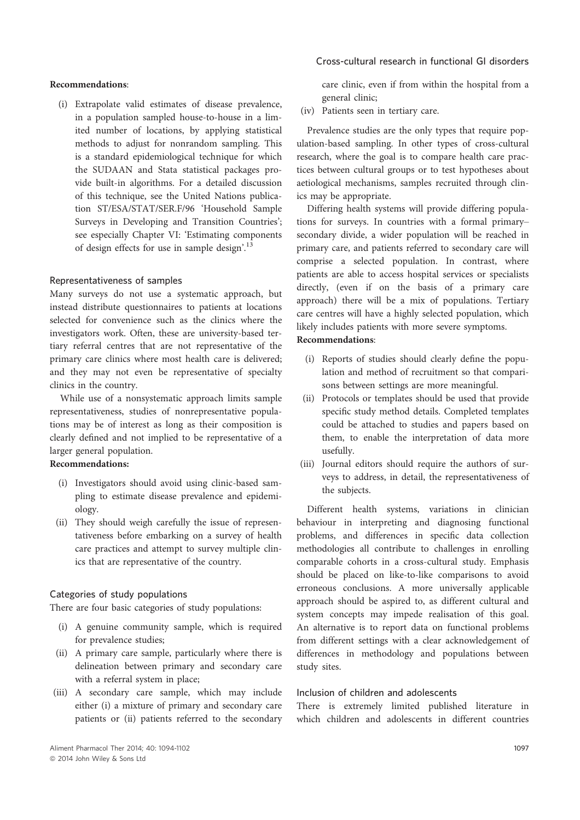#### Recommendations:

(i) Extrapolate valid estimates of disease prevalence, in a population sampled house-to-house in a limited number of locations, by applying statistical methods to adjust for nonrandom sampling. This is a standard epidemiological technique for which the SUDAAN and Stata statistical packages provide built-in algorithms. For a detailed discussion of this technique, see the United Nations publication ST/ESA/STAT/SER.F/96 'Household Sample Surveys in Developing and Transition Countries'; see especially Chapter VI: 'Estimating components of design effects for use in sample design'.<sup>13</sup>

#### Representativeness of samples

Many surveys do not use a systematic approach, but instead distribute questionnaires to patients at locations selected for convenience such as the clinics where the investigators work. Often, these are university-based tertiary referral centres that are not representative of the primary care clinics where most health care is delivered; and they may not even be representative of specialty clinics in the country.

While use of a nonsystematic approach limits sample representativeness, studies of nonrepresentative populations may be of interest as long as their composition is clearly defined and not implied to be representative of a larger general population.

# Recommendations:

- (i) Investigators should avoid using clinic-based sampling to estimate disease prevalence and epidemiology.
- (ii) They should weigh carefully the issue of representativeness before embarking on a survey of health care practices and attempt to survey multiple clinics that are representative of the country.

# Categories of study populations

There are four basic categories of study populations:

- (i) A genuine community sample, which is required for prevalence studies;
- (ii) A primary care sample, particularly where there is delineation between primary and secondary care with a referral system in place;
- (iii) A secondary care sample, which may include either (i) a mixture of primary and secondary care patients or (ii) patients referred to the secondary

care clinic, even if from within the hospital from a general clinic;

(iv) Patients seen in tertiary care.

Prevalence studies are the only types that require population-based sampling. In other types of cross-cultural research, where the goal is to compare health care practices between cultural groups or to test hypotheses about aetiological mechanisms, samples recruited through clinics may be appropriate.

Differing health systems will provide differing populations for surveys. In countries with a formal primary– secondary divide, a wider population will be reached in primary care, and patients referred to secondary care will comprise a selected population. In contrast, where patients are able to access hospital services or specialists directly, (even if on the basis of a primary care approach) there will be a mix of populations. Tertiary care centres will have a highly selected population, which likely includes patients with more severe symptoms. Recommendations:

- (i) Reports of studies should clearly define the population and method of recruitment so that comparisons between settings are more meaningful.
- (ii) Protocols or templates should be used that provide specific study method details. Completed templates could be attached to studies and papers based on them, to enable the interpretation of data more usefully.
- (iii) Journal editors should require the authors of surveys to address, in detail, the representativeness of the subjects.

Different health systems, variations in clinician behaviour in interpreting and diagnosing functional problems, and differences in specific data collection methodologies all contribute to challenges in enrolling comparable cohorts in a cross-cultural study. Emphasis should be placed on like-to-like comparisons to avoid erroneous conclusions. A more universally applicable approach should be aspired to, as different cultural and system concepts may impede realisation of this goal. An alternative is to report data on functional problems from different settings with a clear acknowledgement of differences in methodology and populations between study sites.

## Inclusion of children and adolescents

There is extremely limited published literature in which children and adolescents in different countries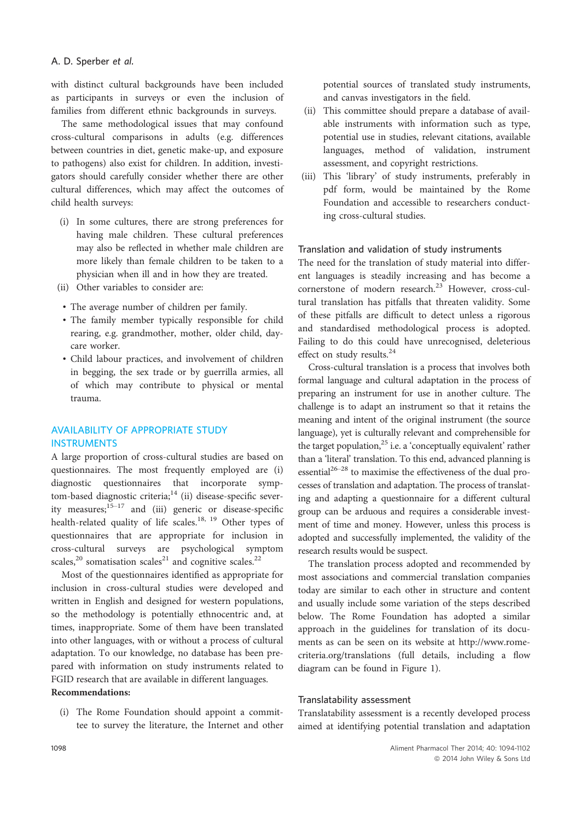# A. D. Sperber et al.

with distinct cultural backgrounds have been included as participants in surveys or even the inclusion of families from different ethnic backgrounds in surveys.

The same methodological issues that may confound cross-cultural comparisons in adults (e.g. differences between countries in diet, genetic make-up, and exposure to pathogens) also exist for children. In addition, investigators should carefully consider whether there are other cultural differences, which may affect the outcomes of child health surveys:

- (i) In some cultures, there are strong preferences for having male children. These cultural preferences may also be reflected in whether male children are more likely than female children to be taken to a physician when ill and in how they are treated.
- (ii) Other variables to consider are:
- The average number of children per family.
- The family member typically responsible for child rearing, e.g. grandmother, mother, older child, daycare worker.
- Child labour practices, and involvement of children in begging, the sex trade or by guerrilla armies, all of which may contribute to physical or mental trauma.

# AVAILABILITY OF APPROPRIATE STUDY INSTRUMENTS

A large proportion of cross-cultural studies are based on questionnaires. The most frequently employed are (i) diagnostic questionnaires that incorporate symptom-based diagnostic criteria;<sup>14</sup> (ii) disease-specific severity measures;<sup>15–17</sup> and (iii) generic or disease-specific health-related quality of life scales.<sup>18, 19</sup> Other types of questionnaires that are appropriate for inclusion in cross-cultural surveys are psychological symptom scales,<sup>20</sup> somatisation scales<sup>21</sup> and cognitive scales.<sup>22</sup>

Most of the questionnaires identified as appropriate for inclusion in cross-cultural studies were developed and written in English and designed for western populations, so the methodology is potentially ethnocentric and, at times, inappropriate. Some of them have been translated into other languages, with or without a process of cultural adaptation. To our knowledge, no database has been prepared with information on study instruments related to FGID research that are available in different languages.

# Recommendations:

(i) The Rome Foundation should appoint a committee to survey the literature, the Internet and other potential sources of translated study instruments, and canvas investigators in the field.

- (ii) This committee should prepare a database of available instruments with information such as type, potential use in studies, relevant citations, available languages, method of validation, instrument assessment, and copyright restrictions.
- (iii) This 'library' of study instruments, preferably in pdf form, would be maintained by the Rome Foundation and accessible to researchers conducting cross-cultural studies.

# Translation and validation of study instruments

The need for the translation of study material into different languages is steadily increasing and has become a cornerstone of modern research.<sup>23</sup> However, cross-cultural translation has pitfalls that threaten validity. Some of these pitfalls are difficult to detect unless a rigorous and standardised methodological process is adopted. Failing to do this could have unrecognised, deleterious effect on study results.<sup>24</sup>

Cross-cultural translation is a process that involves both formal language and cultural adaptation in the process of preparing an instrument for use in another culture. The challenge is to adapt an instrument so that it retains the meaning and intent of the original instrument (the source language), yet is culturally relevant and comprehensible for the target population, $^{25}$  i.e. a 'conceptually equivalent' rather than a 'literal' translation. To this end, advanced planning is essential<sup>26–28</sup> to maximise the effectiveness of the dual processes of translation and adaptation. The process of translating and adapting a questionnaire for a different cultural group can be arduous and requires a considerable investment of time and money. However, unless this process is adopted and successfully implemented, the validity of the research results would be suspect.

The translation process adopted and recommended by most associations and commercial translation companies today are similar to each other in structure and content and usually include some variation of the steps described below. The Rome Foundation has adopted a similar approach in the guidelines for translation of its documents as can be seen on its website at http://www.romecriteria.org/translations (full details, including a flow diagram can be found in Figure 1).

## Translatability assessment

Translatability assessment is a recently developed process aimed at identifying potential translation and adaptation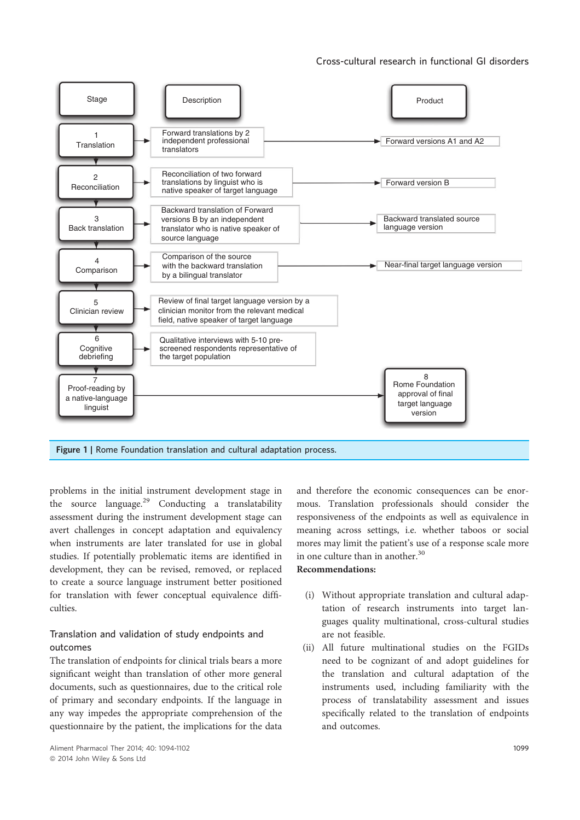# Cross-cultural research in functional GI disorders



problems in the initial instrument development stage in the source language.<sup>29</sup> Conducting a translatability assessment during the instrument development stage can avert challenges in concept adaptation and equivalency when instruments are later translated for use in global studies. If potentially problematic items are identified in development, they can be revised, removed, or replaced to create a source language instrument better positioned for translation with fewer conceptual equivalence difficulties.

# Translation and validation of study endpoints and outcomes

The translation of endpoints for clinical trials bears a more significant weight than translation of other more general documents, such as questionnaires, due to the critical role of primary and secondary endpoints. If the language in any way impedes the appropriate comprehension of the questionnaire by the patient, the implications for the data

and therefore the economic consequences can be enormous. Translation professionals should consider the responsiveness of the endpoints as well as equivalence in meaning across settings, i.e. whether taboos or social mores may limit the patient's use of a response scale more in one culture than in another.<sup>30</sup>

# Recommendations:

- (i) Without appropriate translation and cultural adaptation of research instruments into target languages quality multinational, cross-cultural studies are not feasible.
- (ii) All future multinational studies on the FGIDs need to be cognizant of and adopt guidelines for the translation and cultural adaptation of the instruments used, including familiarity with the process of translatability assessment and issues specifically related to the translation of endpoints and outcomes.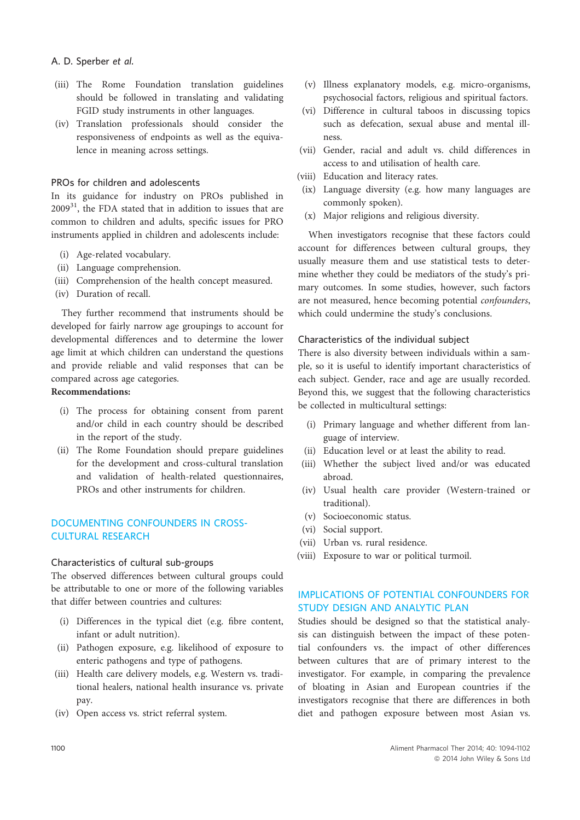# A. D. Sperber et al.

- (iii) The Rome Foundation translation guidelines should be followed in translating and validating FGID study instruments in other languages.
- (iv) Translation professionals should consider the responsiveness of endpoints as well as the equivalence in meaning across settings.

## PROs for children and adolescents

In its guidance for industry on PROs published in  $2009<sup>31</sup>$ , the FDA stated that in addition to issues that are common to children and adults, specific issues for PRO instruments applied in children and adolescents include:

- (i) Age-related vocabulary.
- (ii) Language comprehension.
- (iii) Comprehension of the health concept measured.
- (iv) Duration of recall.

They further recommend that instruments should be developed for fairly narrow age groupings to account for developmental differences and to determine the lower age limit at which children can understand the questions and provide reliable and valid responses that can be compared across age categories.

# Recommendations:

- (i) The process for obtaining consent from parent and/or child in each country should be described in the report of the study.
- (ii) The Rome Foundation should prepare guidelines for the development and cross-cultural translation and validation of health-related questionnaires, PROs and other instruments for children.

# DOCUMENTING CONFOUNDERS IN CROSS-CULTURAL RESEARCH

## Characteristics of cultural sub-groups

The observed differences between cultural groups could be attributable to one or more of the following variables that differ between countries and cultures:

- (i) Differences in the typical diet (e.g. fibre content, infant or adult nutrition).
- (ii) Pathogen exposure, e.g. likelihood of exposure to enteric pathogens and type of pathogens.
- (iii) Health care delivery models, e.g. Western vs. traditional healers, national health insurance vs. private pay.
- (iv) Open access vs. strict referral system.
- (v) Illness explanatory models, e.g. micro-organisms, psychosocial factors, religious and spiritual factors.
- (vi) Difference in cultural taboos in discussing topics such as defecation, sexual abuse and mental illness.
- (vii) Gender, racial and adult vs. child differences in access to and utilisation of health care.
- (viii) Education and literacy rates.
- (ix) Language diversity (e.g. how many languages are commonly spoken).
- (x) Major religions and religious diversity.

When investigators recognise that these factors could account for differences between cultural groups, they usually measure them and use statistical tests to determine whether they could be mediators of the study's primary outcomes. In some studies, however, such factors are not measured, hence becoming potential confounders, which could undermine the study's conclusions.

# Characteristics of the individual subject

There is also diversity between individuals within a sample, so it is useful to identify important characteristics of each subject. Gender, race and age are usually recorded. Beyond this, we suggest that the following characteristics be collected in multicultural settings:

- (i) Primary language and whether different from language of interview.
- (ii) Education level or at least the ability to read.
- (iii) Whether the subject lived and/or was educated abroad.
- (iv) Usual health care provider (Western-trained or traditional).
- (v) Socioeconomic status.
- (vi) Social support.
- (vii) Urban vs. rural residence.
- (viii) Exposure to war or political turmoil.

# IMPLICATIONS OF POTENTIAL CONFOUNDERS FOR STUDY DESIGN AND ANALYTIC PLAN

Studies should be designed so that the statistical analysis can distinguish between the impact of these potential confounders vs. the impact of other differences between cultures that are of primary interest to the investigator. For example, in comparing the prevalence of bloating in Asian and European countries if the investigators recognise that there are differences in both diet and pathogen exposure between most Asian vs.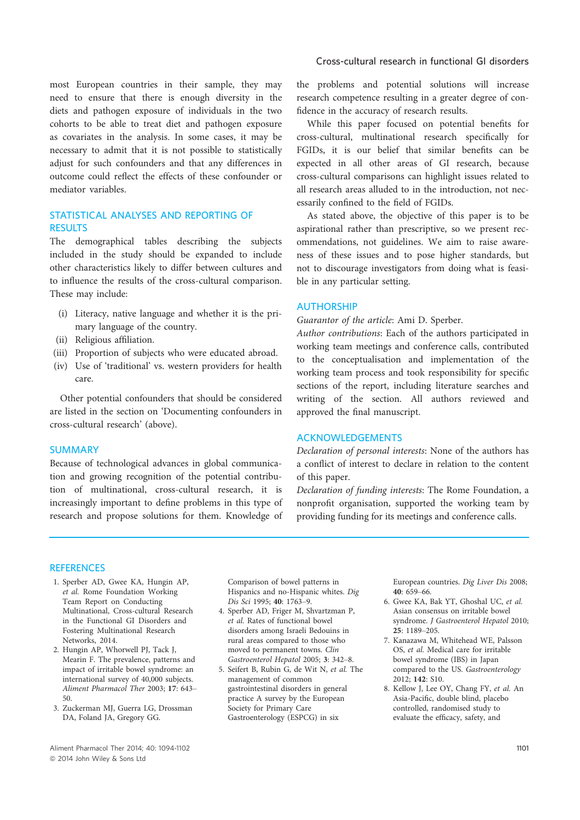most European countries in their sample, they may need to ensure that there is enough diversity in the diets and pathogen exposure of individuals in the two cohorts to be able to treat diet and pathogen exposure as covariates in the analysis. In some cases, it may be necessary to admit that it is not possible to statistically adjust for such confounders and that any differences in outcome could reflect the effects of these confounder or mediator variables.

# STATISTICAL ANALYSES AND REPORTING OF **RESULTS**

The demographical tables describing the subjects included in the study should be expanded to include other characteristics likely to differ between cultures and to influence the results of the cross-cultural comparison. These may include:

- (i) Literacy, native language and whether it is the primary language of the country.
- (ii) Religious affiliation.
- (iii) Proportion of subjects who were educated abroad.
- (iv) Use of 'traditional' vs. western providers for health care.

Other potential confounders that should be considered are listed in the section on 'Documenting confounders in cross-cultural research' (above).

#### SUMMARY

Because of technological advances in global communication and growing recognition of the potential contribution of multinational, cross-cultural research, it is increasingly important to define problems in this type of research and propose solutions for them. Knowledge of

the problems and potential solutions will increase research competence resulting in a greater degree of confidence in the accuracy of research results.

While this paper focused on potential benefits for cross-cultural, multinational research specifically for FGIDs, it is our belief that similar benefits can be expected in all other areas of GI research, because cross-cultural comparisons can highlight issues related to all research areas alluded to in the introduction, not necessarily confined to the field of FGIDs.

As stated above, the objective of this paper is to be aspirational rather than prescriptive, so we present recommendations, not guidelines. We aim to raise awareness of these issues and to pose higher standards, but not to discourage investigators from doing what is feasible in any particular setting.

#### AUTHORSHIP

Guarantor of the article: Ami D. Sperber.

Author contributions: Each of the authors participated in working team meetings and conference calls, contributed to the conceptualisation and implementation of the working team process and took responsibility for specific sections of the report, including literature searches and writing of the section. All authors reviewed and approved the final manuscript.

#### ACKNOWLEDGEMENTS

Declaration of personal interests: None of the authors has a conflict of interest to declare in relation to the content of this paper.

Declaration of funding interests: The Rome Foundation, a nonprofit organisation, supported the working team by providing funding for its meetings and conference calls.

#### **REFERENCES**

- 1. Sperber AD, Gwee KA, Hungin AP, et al. Rome Foundation Working Team Report on Conducting Multinational, Cross-cultural Research in the Functional GI Disorders and Fostering Multinational Research Networks, 2014.
- 2. Hungin AP, Whorwell PJ, Tack J, Mearin F. The prevalence, patterns and impact of irritable bowel syndrome: an international survey of 40,000 subjects. Aliment Pharmacol Ther 2003; 17: 643– 50.
- 3. Zuckerman MJ, Guerra LG, Drossman DA, Foland JA, Gregory GG.

Aliment Pharmacol Ther 2014: 40: 1094-1102 1101 12: 1001 12: 1001 12: 1001 12: 1001 12: 1001 12: 1001 12: 1001 ª 2014 John Wiley & Sons Ltd

Comparison of bowel patterns in Hispanics and no-Hispanic whites. Dig Dis Sci 1995; 40: 1763–9.

- 4. Sperber AD, Friger M, Shvartzman P, et al. Rates of functional bowel disorders among Israeli Bedouins in rural areas compared to those who moved to permanent towns. Clin Gastroenterol Hepatol 2005; 3: 342–8.
- 5. Seifert B, Rubin G, de Wit N, et al. The management of common gastrointestinal disorders in general practice A survey by the European Society for Primary Care Gastroenterology (ESPCG) in six

European countries. Dig Liver Dis 2008; 40: 659–66.

- 6. Gwee KA, Bak YT, Ghoshal UC, et al. Asian consensus on irritable bowel syndrome. J Gastroenterol Hepatol 2010; 25: 1189–205.
- 7. Kanazawa M, Whitehead WE, Palsson OS, et al. Medical care for irritable bowel syndrome (IBS) in Japan compared to the US. Gastroenterology 2012; 142: S10.
- 8. Kellow J, Lee OY, Chang FY, et al. An Asia-Pacific, double blind, placebo controlled, randomised study to evaluate the efficacy, safety, and